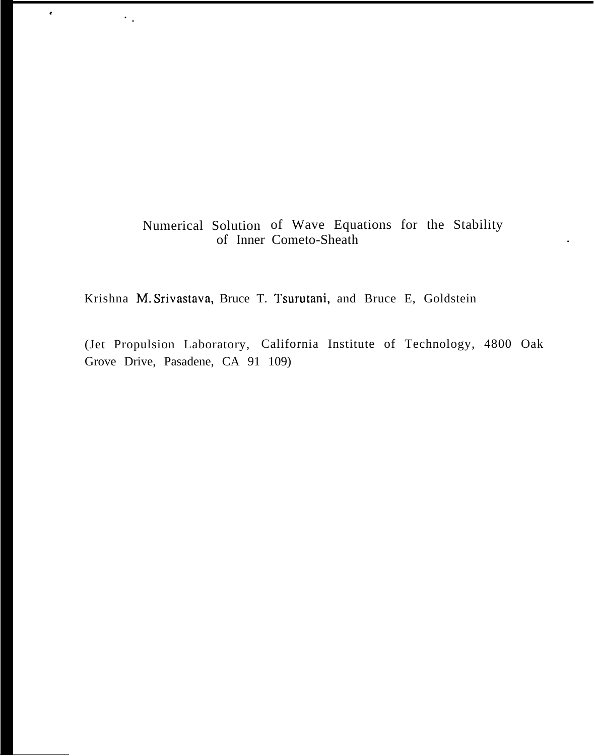# Numerical Solution of Wave Equations for the Stability of Inner Cometo-Sheath .

Krishna M, Srivastava, Bruce T. Tsurutani, and Bruce E, Goldstein

\*

".

(Jet Propulsion Laboratory, California Institute of Technology, 4800 Oak Grove Drive, Pasadene, CA 91 109)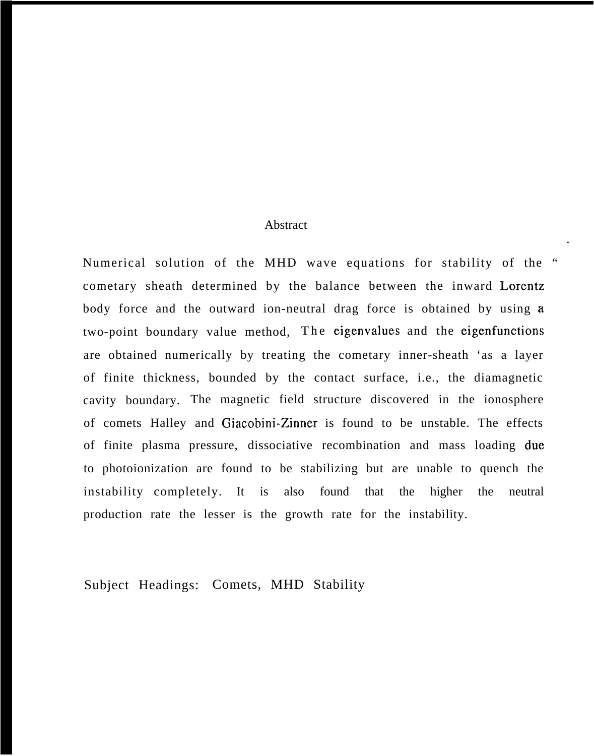### Abstract

Numerical solution of the MHD wave equations for stability of the " cometary sheath determined by the balance between the inward Lorentz body force and the outward ion-neutral drag force is obtained by using a two-point boundary value method, The eigenvalues and the eigenfunctions are obtained numerically by treating the cometary inner-sheath 'as a layer of finite thickness, bounded by the contact surface, i.e., the diamagnetic cavity boundary. The magnetic field structure discovered in the ionosphere of comets Halley and Giacobini-Zinner is found to be unstable. The effects of finite plasma pressure, dissociative recombination and mass loading due to photoionization are found to be stabilizing but are unable to quench the instability completely. It is also found that the higher the neutral production rate the lesser is the growth rate for the instability.

.

Subject Headings: Comets, MHD Stability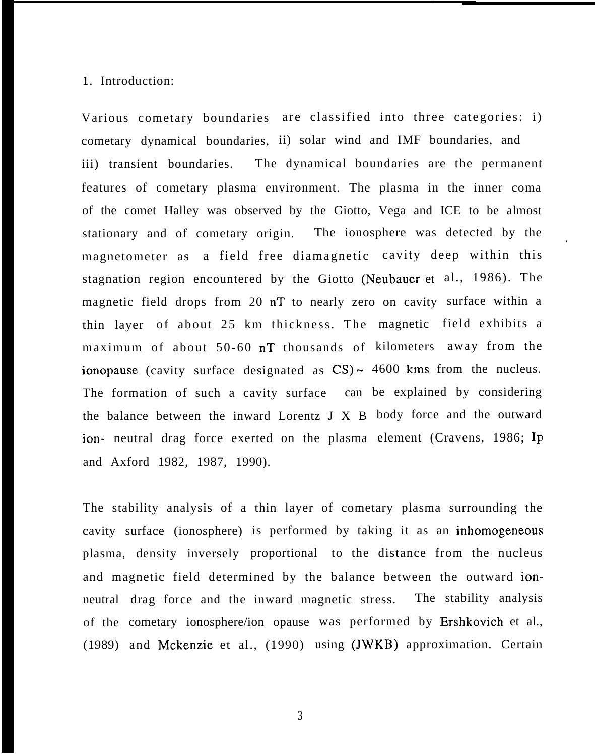## 1. Introduction:

Various cometary boundaries are classified into three categories: i) cometary dynamical boundaries, ii) solar wind and IMF boundaries, and iii) transient boundaries. The dynamical boundaries are the permanent features of cometary plasma environment. The plasma in the inner coma of the comet Halley was observed by the Giotto, Vega and ICE to be almost stationary and of cometary origin. The ionosphere was detected by the thin layer of about 25 km thickness. The magnetic field exhibits a maximum of about 50-60 nT thousands of kilometers away from the stagnation region encountered by the Giotto (Neubauer et al., 1986). The magnetic field drops from 20 nT to nearly zero on cavity surface within a magnetometer as a field free diamagnetic cavity deep within this ionopause (cavity surface designated as  $CS$ )  $\sim$  4600 kms from the nucleus. The formation of such a cavity surface can be explained by considering the balance between the inward Lorentz J X B body force and the outward ion- neutral drag force exerted on the plasma element (Cravens, 1986; Ip and Axford 1982, 1987, 1990).

.

cavity surface (ionosphere) is performed by taking it as an inhomogeneous plasma, density inversely proportional to the distance from the nucleus The stability analysis of a thin layer of cometary plasma surrounding the and magnetic field determined by the balance between the outward ionneutral drag force and the inward magnetic stress. The stability analysis of the cometary ionosphere/ion opause was performed by Ershkovich et al., (1989) and Mckenzie et al., (1990) using (JWKB) approximation. Certain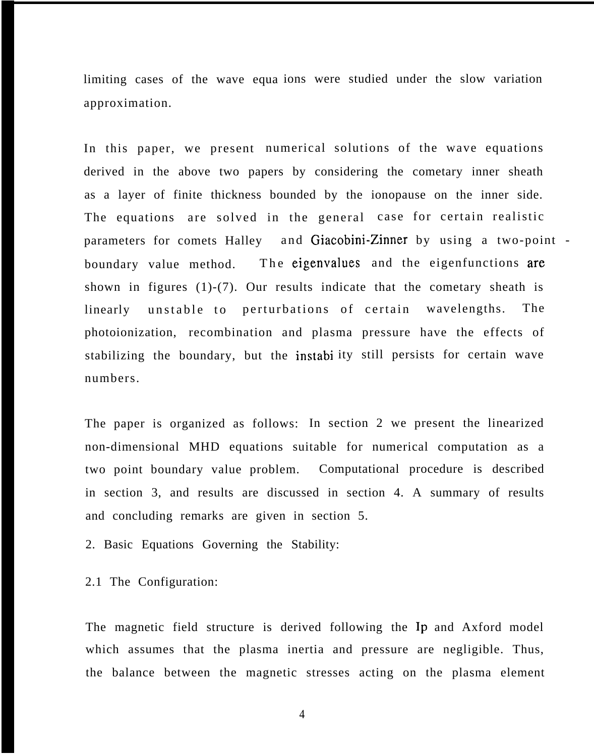limiting cases of the wave equa ions were studied under the slow variation approximation.

In this paper, we present numerical solutions of the wave equations derived in the above two papers by considering the cometary inner sheath as a layer of finite thickness bounded by the ionopause on the inner side. The equations are solved in the general case for certain realistic parameters for comets Halley and Giacobini-Zinner by using a two-point boundary value method. The eigenvalues and the eigenfunctions are shown in figures (1)-(7). Our results indicate that the cometary sheath is linearly unstable to perturbations of certain wavelengths. The photoionization, recombination and plasma pressure have the effects of stabilizing the boundary, but the instabi ity still persists for certain wave numbers.

The paper is organized as follows: In section 2 we present the linearized non-dimensional MHD equations suitable for numerical computation as a two point boundary value problem. Computational procedure is described in section 3, and results are discussed in section 4. A summary of results and concluding remarks are given in section 5.

2. Basic Equations Governing the Stability:

2.1 The Configuration:

The magnetic field structure is derived following the Ip and Axford model which assumes that the plasma inertia and pressure are negligible. Thus, the balance between the magnetic stresses acting on the plasma element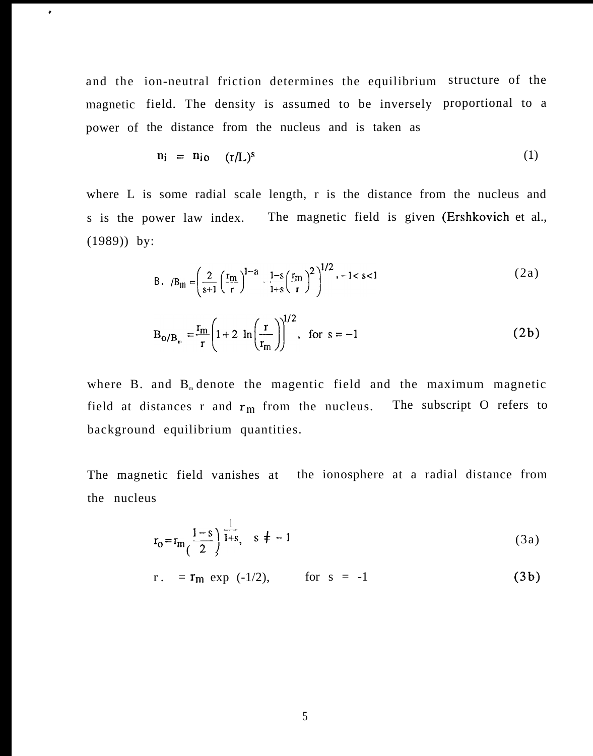and the ion-neutral friction determines the equilibrium structure of the magnetic field. The density is assumed to be inversely proportional to a power of the distance from the nucleus and is taken as

 $\bullet$ 

$$
n_i = n_{io} \t(r/L)^s \t(1)
$$

where L is some radial scale length, r is the distance from the nucleus and s is the power law index. The magnetic field is given (Ershkovich et al., (1989)) by:

B. 
$$
B_m = \left(\frac{2}{s+1} \left(\frac{r_m}{r}\right)^{1-a} - \frac{1-s}{1+s} \left(\frac{r_m}{r}\right)^2\right)^{1/2}, -1 < s < 1
$$
 (2a)

$$
B_{0/B_m} = \frac{r_m}{r} \left( 1 + 2 \ln \left( \frac{r}{r_m} \right) \right)^{1/2}, \text{ for } s = -1
$$
 (2b)

where B. and  $B<sub>m</sub>$  denote the magentic field and the maximum magnetic field at distances r and  $r_m$  from the nucleus. The subscript O refers to background equilibrium quantities.

The magnetic field vanishes at the ionosphere at a radial distance from the nucleus

$$
r_0 = r_m \left(\frac{1-s}{2}\right) \frac{1}{1+s}, \quad s \neq -1
$$
 (3a)

$$
r = r_m \exp(-1/2)
$$
, for  $s = -1$  (3b)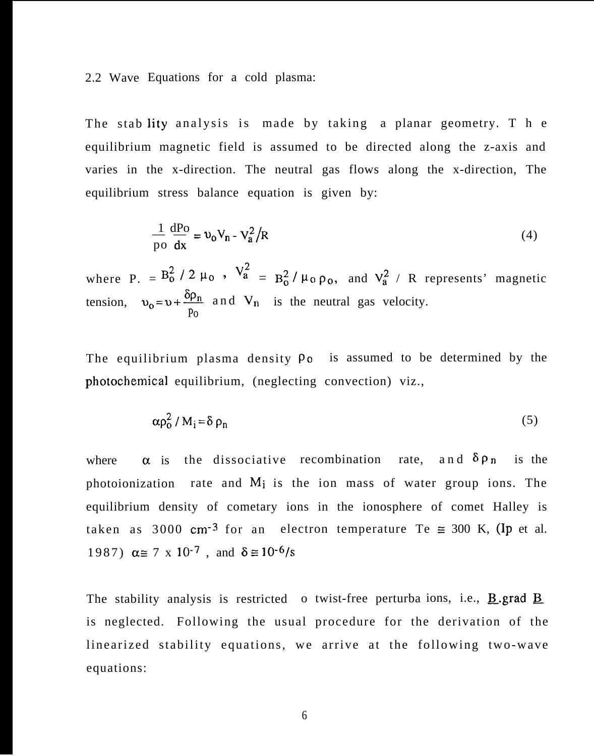### 2.2 Wave Equations for a cold plasma:

The stab lity analysis is made by taking a planar geometry. T h e equilibrium magnetic field is assumed to be directed along the z-axis and varies in the x-direction. The neutral gas flows along the x-direction, The equilibrium stress balance equation is given by:

$$
\frac{1}{\text{po}} \frac{\text{dPo}}{\text{dx}} = v_0 V_n - V_a^2 / R \tag{4}
$$

where P. =  $B_0^2/2 \mu_0$ ,  $V_a^2 = B_0^2/\mu_0 \rho_0$ , and  $V_a^2$  / R represents' magnetic tension,  $v_0 = v + \frac{\delta \rho_n}{n}$  and  $V_n$  is the neutral gas velocity. Po

The equilibrium plasma density  $\rho_0$  is assumed to be determined by the photochemical equilibrium, (neglecting convection) viz.,

$$
\alpha \rho_0^2 / M_i = \delta \rho_n \tag{5}
$$

where  $\alpha$  is the dissociative recombination rate, and  $\delta \rho_n$  is the photoionization rate and  $M_i$  is the ion mass of water group ions. The equilibrium density of cometary ions in the ionosphere of comet Halley is taken as 3000 cm<sup>-3</sup> for an electron temperature Te  $\approx$  300 K, (Ip et al. 1987)  $\alpha \equiv 7 \times 10^{-7}$ , and  $\delta \equiv 10^{-6}/s$ 

The stability analysis is restricted o twist-free perturba ions, i.e.,  $\underline{B}$  grad  $\underline{B}$ . is neglected. Following the usual procedure for the derivation of the linearized stability equations, we arrive at the following two-wave equations: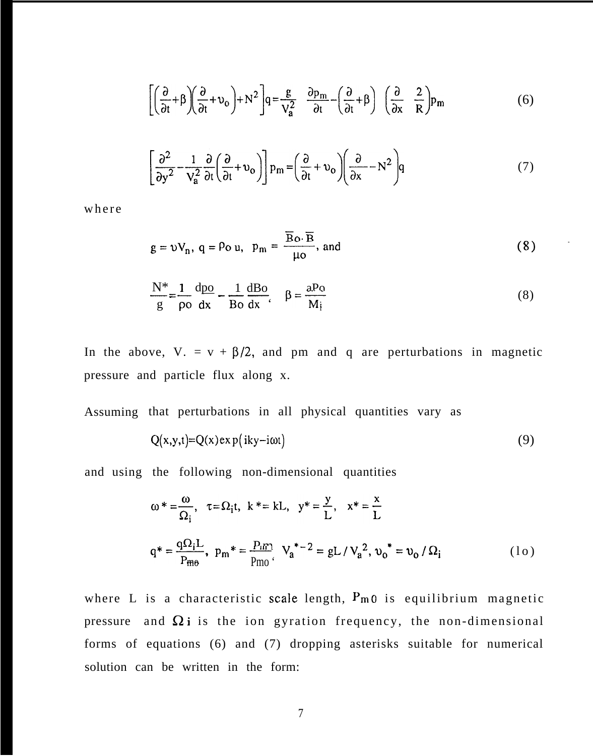$$
\left[ \left( \frac{\partial}{\partial t} + \beta \right) \left( \frac{\partial}{\partial t} + \nu_o \right) + N^2 \right] q = \frac{g}{V_a^2} \frac{\partial p_m}{\partial t} - \left( \frac{\partial}{\partial t} + \beta \right) \left( \frac{\partial}{\partial x} \frac{2}{R} \right) p_m \tag{6}
$$

$$
\left[\frac{\partial^2}{\partial y^2} - \frac{1}{V_a^2} \frac{\partial}{\partial t} \left(\frac{\partial}{\partial t} + \nu_o\right)\right] p_m = \left(\frac{\partial}{\partial t} + \nu_o \right) \left(\frac{\partial}{\partial x} - N^2\right) q
$$
\n(7)

where

$$
g = \nu V_n
$$
,  $q = \rho_0 u$ ,  $p_m = \frac{\overline{B} \rho \cdot \overline{B}}{\mu \rho}$ , and (8)

$$
\frac{N^*}{g} = \frac{1}{\rho o} \frac{dpo}{dx} - \frac{1}{Bo} \frac{dBo}{dx}, \quad \beta = \frac{aPo}{M_i}
$$
 (8)

In the above, V. =  $v + \beta/2$ , and pm and q are perturbations in magnetic pressure and particle flux along x.

Assuming that perturbations in all physical quantities vary as

$$
Q(x,y,t)=Q(x) \exp(iky - i\omega t) \tag{9}
$$

and using the following non-dimensional quantities

$$
\omega^* = \frac{\omega}{\Omega_i}, \quad \tau = \Omega_i t, \quad k^* = kL, \quad y^* = \frac{y}{L}, \quad x^* = \frac{x}{L}
$$
  

$$
q^* = \frac{q\Omega_i L}{P_{m0}}, \quad p_m^* = \frac{P_{m1}}{P_{m0}}, \quad V_a^{*-2} = gL / V_a^2, \quad v_0^* = v_0 / \Omega_i
$$
 (10)

where L is a characteristic scale length,  $P_{m0}$  is equilibrium magnetic pressure and  $\Omega$  i is the ion gyration frequency, the non-dimensional forms of equations (6) and (7) dropping asterisks suitable for numerical solution can be written in the form: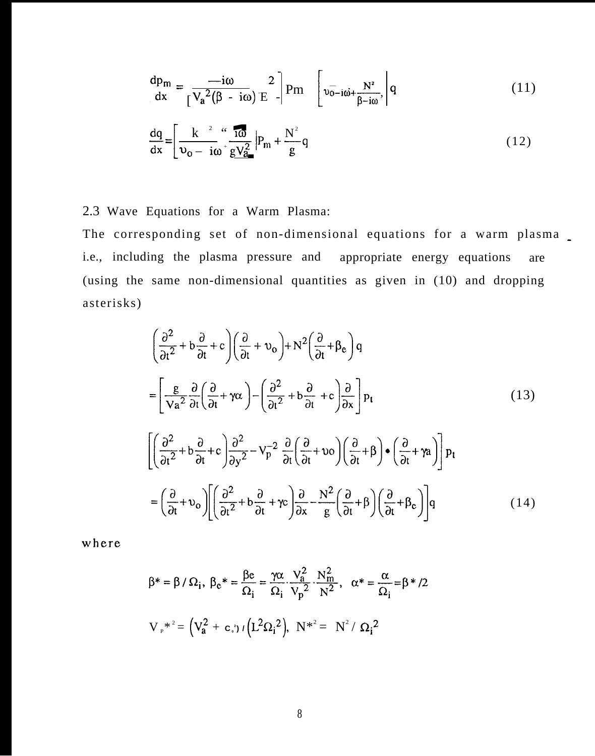$$
\frac{dp_m}{dx} = \frac{-i\omega}{\left[\sqrt{a^2(\beta - i\omega)}\,E\right]}^2 P_m \left[\sqrt{v_{0-i\omega} + \frac{N^2}{\beta - i\omega}},\right] q
$$
\n(11)

$$
\frac{dq}{dx} = \left[ \frac{k^{2}}{v_0 - i\omega} + \frac{i\omega}{gV_a^2} \right] P_m + \frac{N^2}{g} q \tag{12}
$$

# 2.3 Wave Equations for a Warm Plasma:

The corresponding set of non-dimensional equations for a warm plasma. i.e., including the plasma pressure and appropriate energy equations are (using the same non-dimensional quantities as given in (10) and dropping asterisks)

$$
\left(\frac{\partial^2}{\partial t^2} + b\frac{\partial}{\partial t} + c\right) \left(\frac{\partial}{\partial t} + v_o\right) + N^2 \left(\frac{\partial}{\partial t} + \beta_e\right) q
$$
\n
$$
= \left[\frac{g}{\nu a^2} \frac{\partial}{\partial t} \left(\frac{\partial}{\partial t} + \gamma \alpha\right) - \left(\frac{\partial^2}{\partial t^2} + b\frac{\partial}{\partial t} + c\right) \frac{\partial}{\partial x}\right] p_t \tag{13}
$$
\n
$$
\left[\left(\frac{\partial^2}{\partial t^2} + b\frac{\partial}{\partial t} + c\right) \frac{\partial^2}{\partial y^2} - V_p^{-2} \frac{\partial}{\partial t} \left(\frac{\partial}{\partial t} + v_o\right) \left(\frac{\partial}{\partial t} + \beta\right) \bullet \left(\frac{\partial}{\partial t} + \gamma a\right)\right] p_t
$$
\n
$$
= \left(\frac{\partial}{\partial t} + v_o\right) \left[\left(\frac{\partial^2}{\partial t^2} + b\frac{\partial}{\partial t} + \gamma c\right) \frac{\partial}{\partial x} - \frac{N^2}{g} \left(\frac{\partial}{\partial t} + \beta\right) \left(\frac{\partial}{\partial t} + \beta_e\right)\right] q \tag{14}
$$

where

$$
\beta^* = \beta / \Omega_i, \ \beta_c^* = \frac{\beta e}{\Omega_i} = \frac{\gamma \alpha}{\Omega_i} \cdot \frac{V_a^2}{V_p^2} \cdot \frac{N_m^2}{N^2}, \ \alpha^* = \frac{\alpha}{\Omega_i} = \beta^* / 2
$$
  

$$
V_r^{*^2} = (V_a^2 + c_i) / (L^2 \Omega_i^2), \ N^{*^2} = N^2 / \Omega_i^2
$$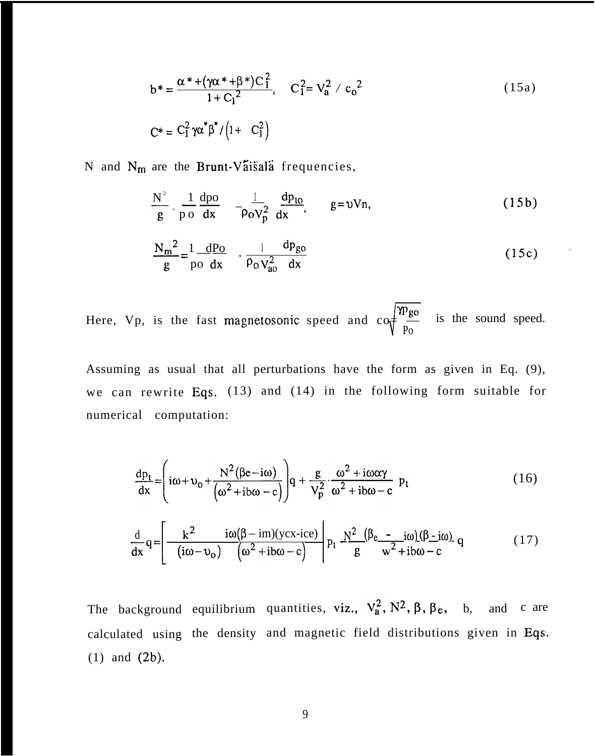$$
b^* = \frac{\alpha^* + (\gamma \alpha^* + \beta^*)C_1^2}{1 + C_1^2}, \quad C_1^2 = V_a^2 / c_0^2
$$
\n
$$
C^* = C_1^2 \gamma \alpha^* \beta^* / (1 + C_1^2)
$$
\n(15a)

N and  $N_m$  are the Brunt-Vaisala frequencies,

$$
\frac{N^2}{g} = \frac{1}{p} \frac{dpo}{dx} \quad -\frac{1}{\rho o V_p^2} \frac{dp_{lo}}{dx}, \qquad g = vVn,
$$
\n(15b)

$$
\frac{N_m^2}{g} = \frac{1}{p_0} \frac{dP_0}{dx} + \frac{1}{\rho_0 V_{ao}^2} \frac{dp_{go}}{dx}
$$
 (15c)

¶<br>∤ Here, Vp, is the fast magnetosonic speed and  $\cos \frac{fPg_0}{g}$  is the sound speed. Po

Assuming as usual that all perturbations have the form as given in Eq. (9), we can rewrite Eqs. (13) and (14) in the following form suitable for numerical computation:

$$
\frac{dp_t}{dx} = \left( i\omega + v_0 + \frac{N^2(\beta e - i\omega)}{(\omega^2 + ib\omega - c)} \right) q + \frac{g}{V_p^2} \cdot \frac{\omega^2 + i\omega\alpha\gamma}{\omega^2 + ib\omega - c} p_t
$$
\n
$$
\frac{d}{dx} q = \left[ -\frac{k^2}{(i\omega - v_0)} \frac{i\omega(\beta - im)(ycx - ice)}{(\omega^2 + ib\omega - c)} \right] p_t \frac{N^2}{g} \frac{(\beta e - i\omega)(\beta - i\omega)}{w^2 + ib\omega - c} q \tag{17}
$$

The background equilibrium quantities, viz.,  $V_a^2$ ,  $N^2$ ,  $\beta$ ,  $\beta$ , b, and c are calculated using the density and magnetic field distributions given in Eqs. (1) and (2b).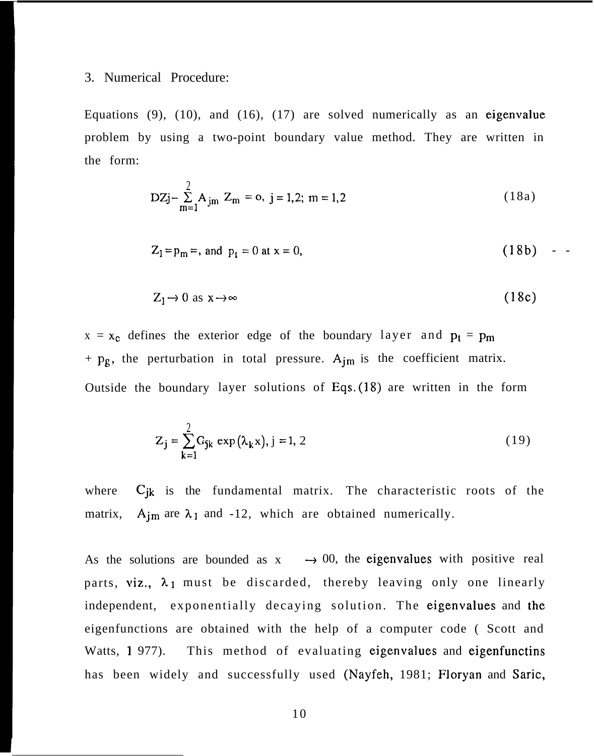# 3. Numerical Procedure:

Equations (9), (10), and (16), (17) are solved numerically as an eigenvalue problem by using a two-point boundary value method. They are written in the form:

$$
DZj - \sum_{m=1}^{2} A_{jm} Z_m = 0, j = 1,2; m = 1,2
$$
 (18a)

$$
Z_1 = p_m =
$$
, and  $p_t = 0$  at  $x = 0$ , (18b) -

$$
Z_1 \to 0 \text{ as } x \to \infty \tag{18c}
$$

 $x = x_c$  defines the exterior edge of the boundary layer and  $p_t = p_m$ +  $p_g$ , the perturbation in total pressure.  $A_{im}$  is the coefficient matrix. Outside the boundary layer solutions of Eqs, (18) are written in the form

$$
Z_{j} = \sum_{k=1}^{2} G_{jk} \exp(\lambda_{k} x), j = 1, 2
$$
 (19)

where  $C_{jk}$  is the fundamental matrix. The characteristic roots of the matrix,  $A_{im}$  are  $\lambda_1$  and -12, which are obtained numerically.

As the solutions are bounded as  $x \rightarrow 00$ , the eigenvalues with positive real parts, viz.,  $\lambda_1$  must be discarded, thereby leaving only one linearly independent, exponentially decaying solution. The eigenvalues and the eigenfunctions are obtained with the help of a computer code ( Scott and Watts, 1 977). This method of evaluating eigenvalues and eigenfunctins has been widely and successfully used (Nayfeh, 1981; Floryan and Saric,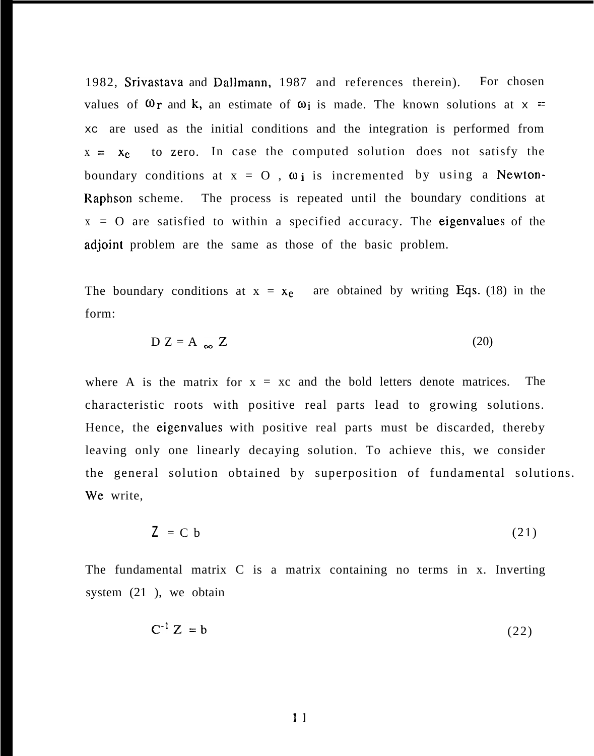1982, Srivastava and Dallmann, 1987 and references therein). For chosen values of  $\mathbf{\omega}_r$  and k, an estimate of  $\mathbf{\omega}_i$  is made. The known solutions at  $x =$ xc are used as the initial conditions and the integration is performed from  $x = x_c$  to zero. In case the computed solution does not satisfy the boundary conditions at  $x = 0$ ,  $\omega_i$  is incremented by using a Newton-Raphson scheme. The process is repeated until the boundary conditions at  $x = 0$  are satisfied to within a specified accuracy. The eigenvalues of the adjoint problem are the same as those of the basic problem.

The boundary conditions at  $x = x_e$  are obtained by writing Eqs. (18) in the form:

$$
D Z = A_{\infty} Z
$$
 (20)

where A is the matrix for  $x = xc$  and the bold letters denote matrices. The characteristic roots with positive real parts lead to growing solutions. Hence, the eigenvalues with positive real parts must be discarded, thereby leaving only one linearly decaying solution. To achieve this, we consider the general solution obtained by superposition of fundamental solutions. We write,

$$
Z = C b \tag{21}
$$

The fundamental matrix C is a matrix containing no terms in x. Inverting system (21 ), we obtain

$$
C^{-1}Z = b \tag{22}
$$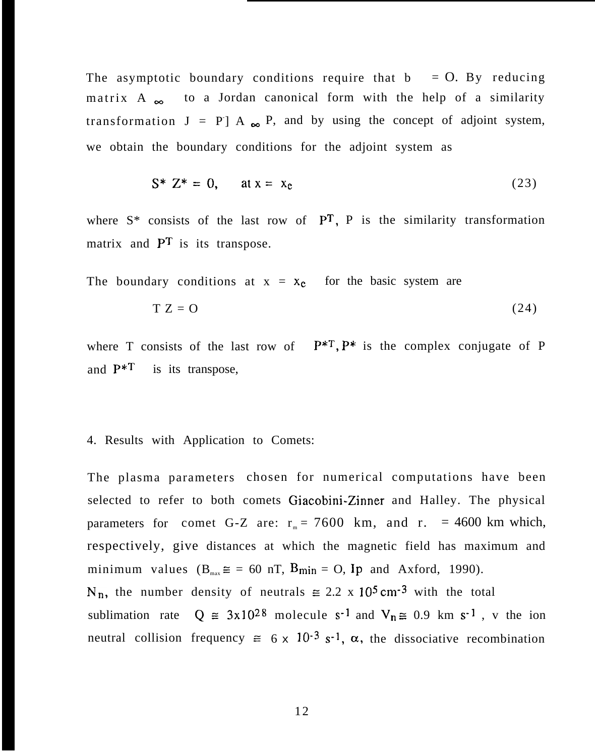The asymptotic boundary conditions require that  $b = 0$ . By reducing matrix A  $\infty$  to a Jordan canonical form with the help of a similarity transformation  $J = P J A_{\infty} P$ , and by using the concept of adjoint system, we obtain the boundary conditions for the adjoint system as

$$
S^* Z^* = 0, \quad \text{at } x = x_c \tag{23}
$$

where  $S^*$  consists of the last row of  $\overline{PT}$ , P is the similarity transformation matrix and  $\mathbf{P}^T$  is its transpose.

The boundary conditions at  $x = x_c$  for the basic system are

$$
T Z = 0 \tag{24}
$$

where T consists of the last row of  $P^{*T}$ ,  $P^{*}$  is the complex conjugate of P and  $P^{\ast T}$  is its transpose,

# 4. Results with Application to Comets:

The plasma parameters chosen for numerical computations have been selected to refer to both comets Giacobini-Zinner and Halley. The physical parameters for comet G-Z are:  $r_m = 7600$  km, and r. = 4600 km which, respectively, give distances at which the magnetic field has maximum and minimum values  $(B_{max} \cong = 60 \text{ nT}, B_{min} = 0,$  Ip and Axford, 1990).  $N_n$ , the number density of neutrals  $\approx 2.2 \times 10^5$  cm<sup>-3</sup> with the total sublimation rate  $Q \approx 3x10^{28}$  molecule s<sup>-1</sup> and  $V_n \approx 0.9$  km s<sup>-1</sup>, v the ion neutral collision frequency  $\approx 6 \times 10^{-3}$  s<sup>-1</sup>,  $\alpha$ , the dissociative recombination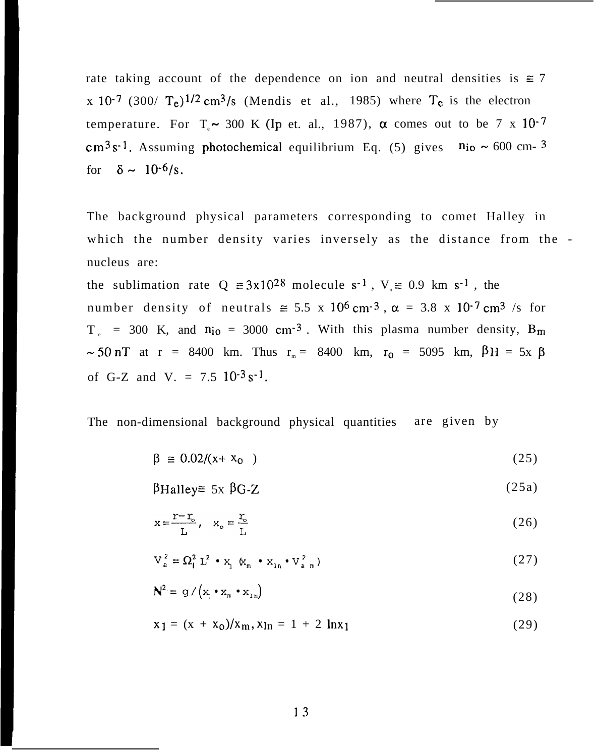rate taking account of the dependence on ion and neutral densities is  $\approx 7$ x 10<sup>-7</sup> (300/  $T_c$ )<sup>1/2</sup> cm<sup>3</sup>/s (Mendis et al., 1985) where  $T_c$  is the electron temperature. For  $T \sim 300$  K (Ip et. al., 1987),  $\alpha$  comes out to be 7 x 10<sup>-7</sup>  $cm<sup>3</sup> s<sup>-1</sup>$ . Assuming photochemical equilibrium Eq. (5) gives  $n_{io} \sim 600$  cm- <sup>3</sup> for  $\delta \sim 10^{-6}/s$ .

The background physical parameters corresponding to comet Halley in which the number density varies inversely as the distance from the nucleus are:

the sublimation rate  $Q \approx 3x10^{28}$  molecule s<sup>-1</sup>,  $V_{n} \approx 0.9$  km s<sup>-1</sup>, the number density of neutrals  $\approx 5.5$  x 10<sup>6</sup> cm<sup>-3</sup>,  $\alpha = 3.8$  x 10<sup>-7</sup> cm<sup>3</sup> /s for  $T_e$  = 300 K, and  $n_{i0}$  = 3000 cm<sup>-3</sup>. With this plasma number density,  $B_m$  $\sim$  50 nT at r = 8400 km. Thus  $r_m = 8400$  km,  $r_0 = 5095$  km,  $\beta$ H = 5x  $\beta$ of G-Z and V. =  $7.5 \, 10^{-3} \, \text{s}^{-1}$ .

The non-dimensional background physical quantities are given by

$$
\beta \equiv 0.02/(x + x_0) \tag{25}
$$

 $\beta$ Halley $\cong$  5x  $\beta$ G-Z (25a)

$$
x = \frac{r - r_c}{L}, \quad x_c = \frac{r_c}{L} \tag{26}
$$

$$
V_a^2 = \Omega_1^2 L^2 \cdot x_1 \cdot x_m \cdot x_{1n} \cdot V_{a.m}^2)
$$
 (27)

$$
N^2 = g / (x_1 \cdot x_m \cdot x_{1n})
$$
 (28)

$$
x_1 = (x + x_0)/x_m, x_{ln} = 1 + 2 ln x_1
$$
 (29)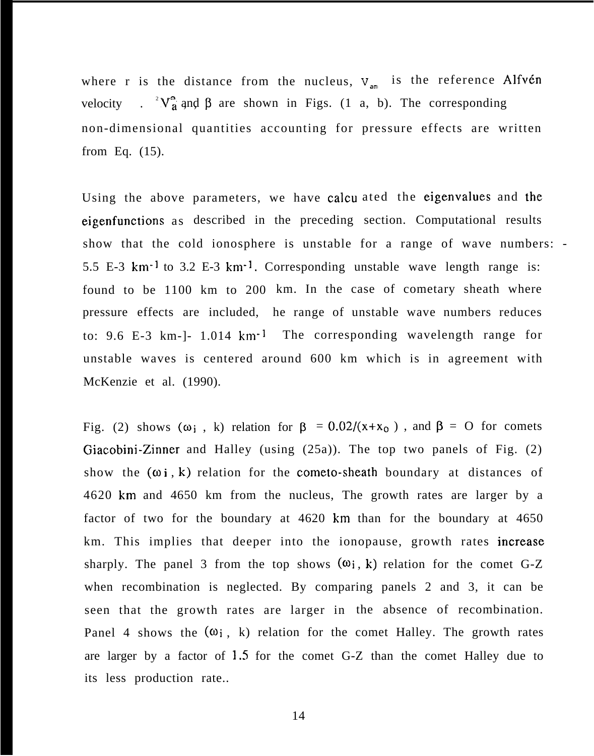where r is the distance from the nucleus,  $V_{am}$  is the reference Alfvén velocity . <sup>2</sup> $V_a^a$  and  $\beta$  are shown in Figs. (1 a, b). The corresponding non-dimensional quantities accounting for pressure effects are written from Eq. (15).

Using the above parameters, we have calcu ated the eigenvalues and the eigenfunctions as described in the preceding section. Computational results show that the cold ionosphere is unstable for a range of wave numbers: - 5.5 E-3 km-l to 3.2 E-3 km-l. Corresponding unstable wave length range is: found to be 1100 km to 200 km. In the case of cometary sheath where pressure effects are included, he range of unstable wave numbers reduces to: 9.6 E-3 km-]- 1.014 km-l The corresponding wavelength range for unstable waves is centered around 600 km which is in agreement with McKenzie et al. (1990).

Fig. (2) shows ( $\omega_i$ , k) relation for  $\beta = 0.02/(x+x_0)$ , and  $\beta = 0$  for comets Giacobini-Zinner and Halley (using (25a)). The top two panels of Fig. (2) show the  $(\omega i, k)$  relation for the cometo-sheath boundary at distances of 4620 km and 4650 km from the nucleus, The growth rates are larger by a factor of two for the boundary at 4620 km than for the boundary at 4650 km. This implies that deeper into the ionopause, growth rates increase sharply. The panel 3 from the top shows  $(\omega_i, k)$  relation for the comet G-Z when recombination is neglected. By comparing panels 2 and 3, it can be seen that the growth rates are larger in the absence of recombination. Panel 4 shows the  $(\omega_i, k)$  relation for the comet Halley. The growth rates are larger by a factor of 1.5 for the comet G-Z than the comet Halley due to its less production rate..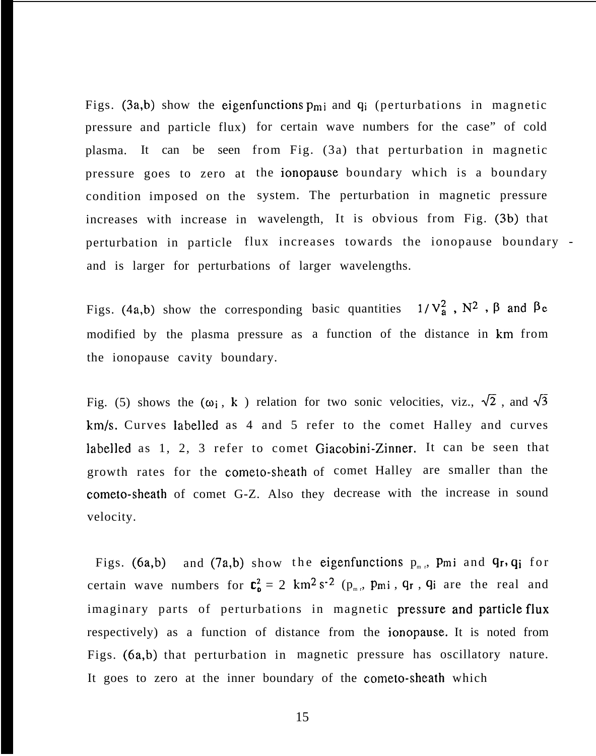Figs. (3a,b) show the eigenfunctions  $p_{mi}$  and  $q_i$  (perturbations in magnetic pressure and particle flux) for certain wave numbers for the case" of cold plasma. It can be seen from Fig. (3a) that perturbation in magnetic pressure goes to zero at the ionopause boundary which is a boundary condition imposed on the system. The perturbation in magnetic pressure increases with increase in wavelength, It is obvious from Fig. (3b) that perturbation in particle flux increases towards the ionopause boundary and is larger for perturbations of larger wavelengths.

Figs. (4a,b) show the corresponding basic quantities  $1/V_a^2$ ,  $N^2$ ,  $\beta$  and  $\beta_c$ modified by the plasma pressure as a function of the distance in km from the ionopause cavity boundary.

Fig. (5) shows the  $(\omega_i, k)$  relation for two sonic velocities, viz.,  $\sqrt{2}$ , and  $\sqrt{3}$ km/s. Curves labelled as 4 and 5 refer to the comet Halley and curves labelled as 1, 2, 3 refer to comet Giacobini-Zinner. It can be seen that growth rates for the cometo-sheath of comet Halley are smaller than the cometo-sheath of comet G-Z. Also they decrease with the increase in sound velocity.

Figs. (6a,b) and (7a,b) show the eigenfunctions  $p_{m,r}$ , Pmi and  $q_r$ ,  $q_i$  for certain wave numbers for  $C_0^2 = 2 \text{ km}^2 \text{ s}^{-2}$  ( $p_{m,r}$ ,  $p_{m,i}$ ,  $q_{r}$ ,  $q_{i}$  are the real and imaginary parts of perturbations in magnetic pressure and particle flux respectively) as a function of distance from the ionopause. It is noted from Figs. (6a,b) that perturbation in magnetic pressure has oscillatory nature. It goes to zero at the inner boundary of the cometo-sheath which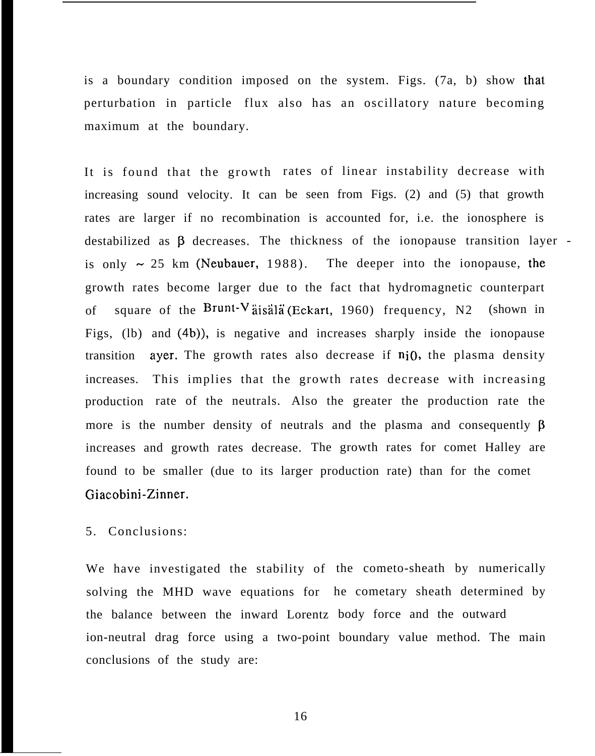is a boundary condition imposed on the system. Figs. (7a, b) show that perturbation in particle flux also has an oscillatory nature becoming maximum at the boundary.

It is found that the growth rates of linear instability decrease with increasing sound velocity. It can be seen from Figs. (2) and (5) that growth rates are larger if no recombination is accounted for, i.e. the ionosphere is destabilized as  $\beta$  decreases. The thickness of the ionopause transition layer is only  $\sim$  25 km (Neubauer, 1988). The deeper into the ionopause, the growth rates become larger due to the fact that hydromagnetic counterpart of square of the Brunt-V assala (Eckart, 1960) frequency, N2 (shown in Figs, (lb) and (4b)), is negative and increases sharply inside the ionopause transition increases. This implies that the growth rates decrease with increasing production rate of the neutrals. Also the greater the production rate the ayer. The growth rates also decrease if  $n<sub>i</sub>0$ , the plasma density more is the number density of neutrals and the plasma and consequently  $\beta$ increases and growth rates decrease. The growth rates for comet Halley are found to be smaller (due to its larger production rate) than for the comet Giacobini-Zinner.

5. Conclusions:

We have investigated the stability of the cometo-sheath by numerically solving the MHD wave equations for he cometary sheath determined by the balance between the inward Lorentz body force and the outward ion-neutral drag force using a two-point boundary value method. The main conclusions of the study are: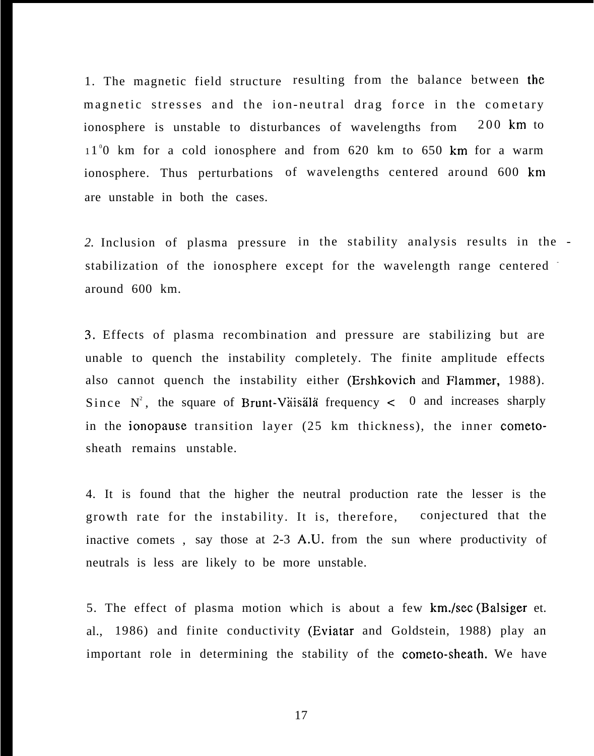1. The magnetic field structure resulting from the balance between the magnetic stresses and the ion-neutral drag force in the cometary ionosphere is unstable to disturbances of wavelengths from 200 km to 11<sup>°</sup>0 km for a cold ionosphere and from 620 km to 650 km for a warm ionosphere. Thus perturbations of wavelengths centered around 600 km are unstable in both the cases.

*2.* Inclusion of plasma pressure in the stability analysis results in the stabilization of the ionosphere except for the wavelength range centered around 600 km.

3. Effects of plasma recombination and pressure are stabilizing but are unable to quench the instability completely. The finite amplitude effects also cannot quench the instability either (Ershkovich and Flammer, 1988). Since  $N^2$ , the square of Brunt-Vaisala frequency  $< 0$  and increases sharply in the ionopause transition layer (25 km thickness), the inner cometosheath remains unstable.

4. It is found that the higher the neutral production rate the lesser is the growth rate for the instability. It is, therefore, conjectured that the inactive comets , say those at 2-3 A.U. from the sun where productivity of neutrals is less are likely to be more unstable.

5. The effect of plasma motion which is about a few km./sec (Balsiger et. al., 1986) and finite conductivity (Eviatar and Goldstein, 1988) play an important role in determining the stability of the cometo-sheath. We have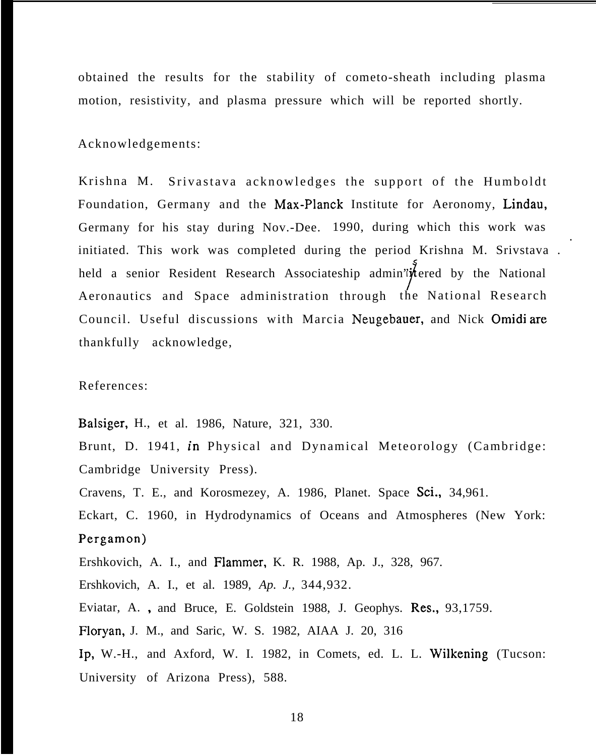obtained the results for the stability of cometo-sheath including plasma motion, resistivity, and plasma pressure which will be reported shortly.

Acknowledgements:

Krishna M. Srivastava acknowledges the support of the Humboldt Foundation, Germany and the Max-Planck Institute for Aeronomy, Lindau, Germany for his stay during Nov.-Dee. 1990, during which this work was initiated. This work was completed during the period Krishna M. Srivstava . held a senior Resident Research Associateship admin'it fered by the National Aeronautics and Space administration through the National Research Council. Useful discussions with Marcia Neugebauer, and Nick Omidi are thankfully acknowledge,

.

References:

Balsiger, H., et al. 1986, Nature, 321, 330.

Brunt, D. 1941, in Physical and Dynamical Meteorology (Cambridge: Cambridge University Press).

Cravens, T. E., and Korosmezey, A. 1986, Planet. Space Sci., 34,961.

Eckart, C. 1960, in Hydrodynamics of Oceans and Atmospheres (New York: Pergamon)

Ershkovich, A. I., and Flammer, K. R. 1988, Ap. J., 328, 967.

Ershkovich, A. I., et al. 1989, *Ap. J.,* 344,932.

Eviatar, A., and Bruce, E. Goldstein 1988, J. Geophys. Res., 93,1759.

Floryan, J. M., and Saric, W. S. 1982, AIAA J. 20, 316

Ip, W.-H., and Axford, W. I. 1982, in Comets, ed. L. L. Wilkening (Tucson: University of Arizona Press), 588.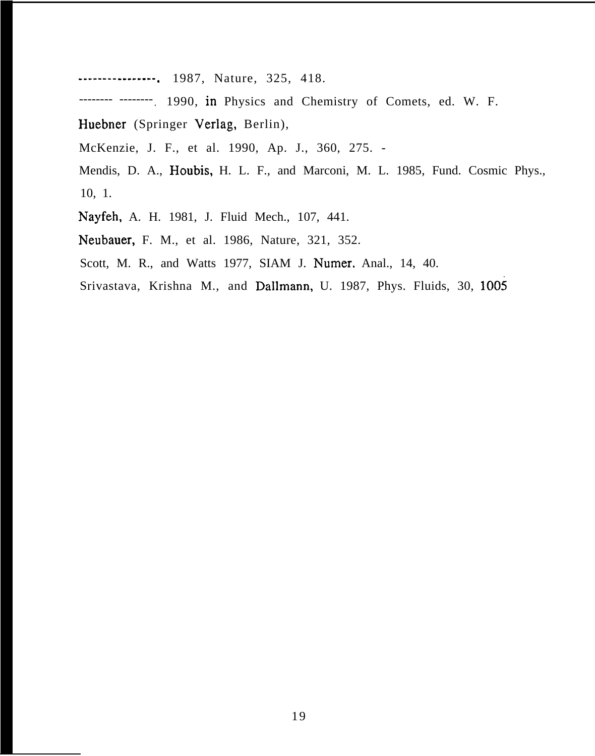-------- -------- . 1987, Nature, 325, 418.

------- -------. 1990, in Physics and Chemistry of Comets, ed. W. F.

Huebner (Springer Verlag, Berlin),

McKenzie, J. F., et al. 1990, Ap. J., 360, 275. -

Mendis, D. A., Houbis, H. L. F., and Marconi, M. L. 1985, Fund. Cosmic Phys., 10, 1.

Nayfeh, A. H. 1981, J. Fluid Mech., 107, 441.

Neubauer, F. M., et al. 1986, Nature, 321, 352.

Scott, M. R., and Watts 1977, SIAM J. Numer. Anal., 14, 40.

Srivastava, Krishna M., and Dallmann, U. 1987, Phys. Fluids, 30, 1005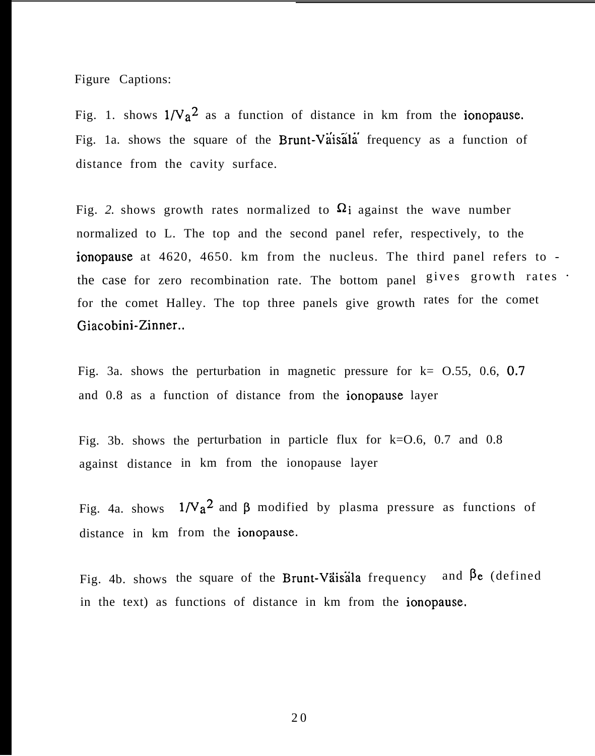Figure Captions:

Fig. 1. shows  $1/V_a^2$  as a function of distance in km from the **ionopause.** Fig. 1a. shows the square of the Brunt-Vaisala frequency as a function of distance from the cavity surface.

Fig. 2. shows growth rates normalized to  $\Omega_1$  against the wave number normalized to L. The top and the second panel refer, respectively, to the ionopause at 4620, 4650. km from the nucleus. The third panel refers to the case for zero recombination rate. The bottom panel  $gives$  growth rates  $\cdot$ for the comet Halley. The top three panels give growth rates for the comet Giacobini-Zinner..

Fig. 3a. shows the perturbation in magnetic pressure for  $k = 0.55, 0.6, 0.7$ and 0.8 as a function of distance from the ionopause layer

Fig. 3b. shows the perturbation in particle flux for k=O.6, 0.7 and 0.8 against distance in km from the ionopause layer

Fig. 4a. shows  $1/\mathrm{Va}^2$  and  $\beta$  modified by plasma pressure as functions of distance in km from the ionopause.

Fig. 4b. shows the square of the Brunt-Väisala frequency and  $\beta$ e (defined in the text) as functions of distance in km from the ionopause.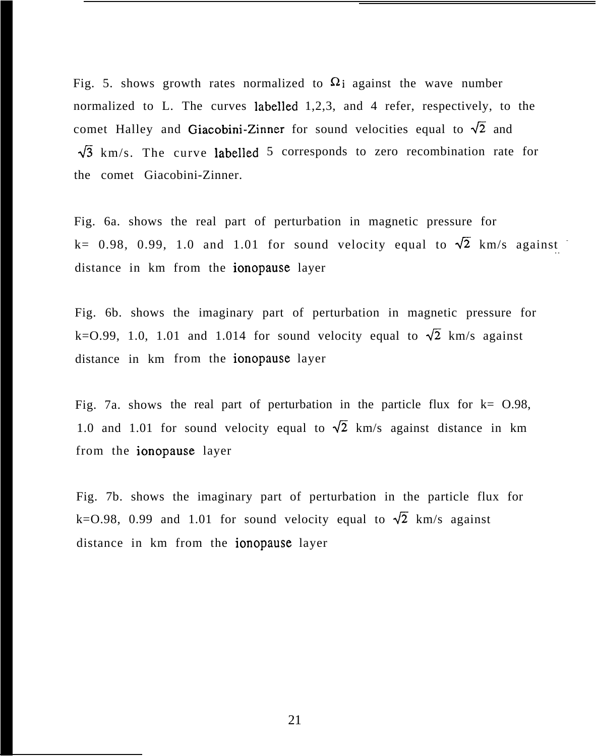Fig. 5. shows growth rates normalized to  $\Omega$  against the wave number normalized to L. The curves labelled 1,2,3, and 4 refer, respectively, to the comet Halley and Giacobini-Zinner for sound velocities equal to  $\sqrt{2}$  and  $\sqrt{3}$  km/s. The curve labelled 5 corresponds to zero recombination rate for the comet Giacobini-Zinner.

Fig. 6a. shows the real part of perturbation in magnetic pressure for k= 0.98, 0.99, 1.0 and 1.01 for sound velocity equal to  $\sqrt{2}$  km/s against distance in km from the ionopause layer

Fig. 6b. shows the imaginary part of perturbation in magnetic pressure for k=0.99, 1.0, 1.01 and 1.014 for sound velocity equal to  $\sqrt{2}$  km/s against distance in km from the ionopause layer

Fig. 7a. shows the real part of perturbation in the particle flux for  $k=$  0.98, 1.0 and 1.01 for sound velocity equal to  $\sqrt{2}$  km/s against distance in km from the ionopause layer

Fig. 7b. shows the imaginary part of perturbation in the particle flux for k=0.98, 0.99 and 1.01 for sound velocity equal to  $\sqrt{2}$  km/s against distance in km from the ionopause layer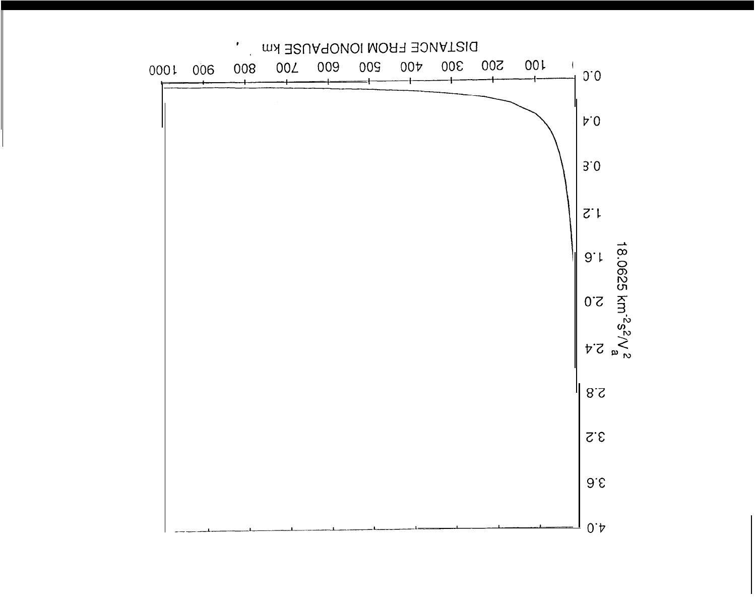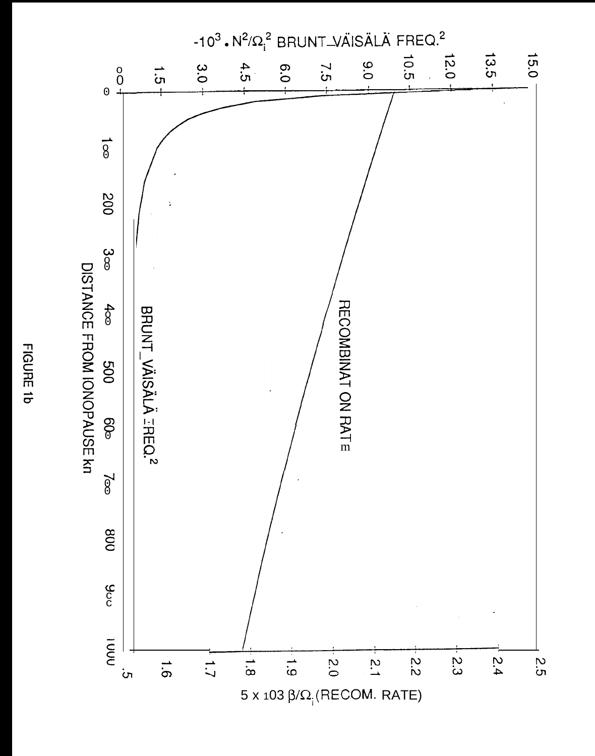

FIGURE 1b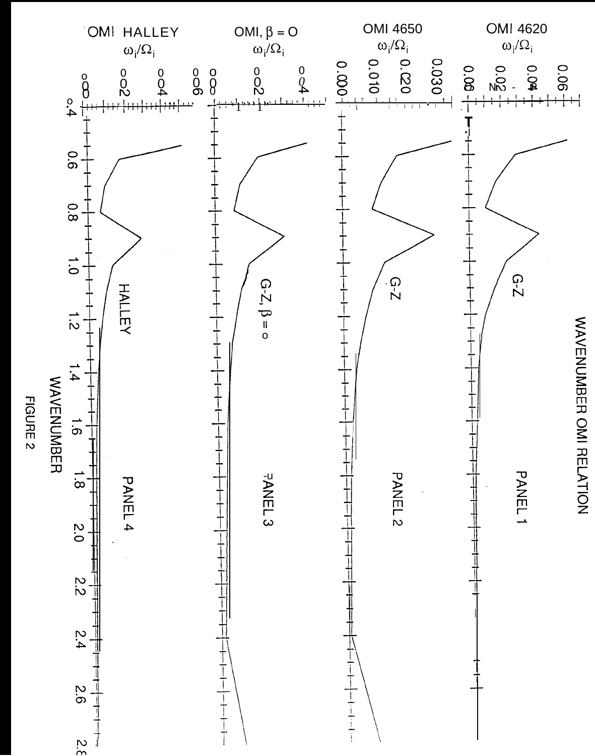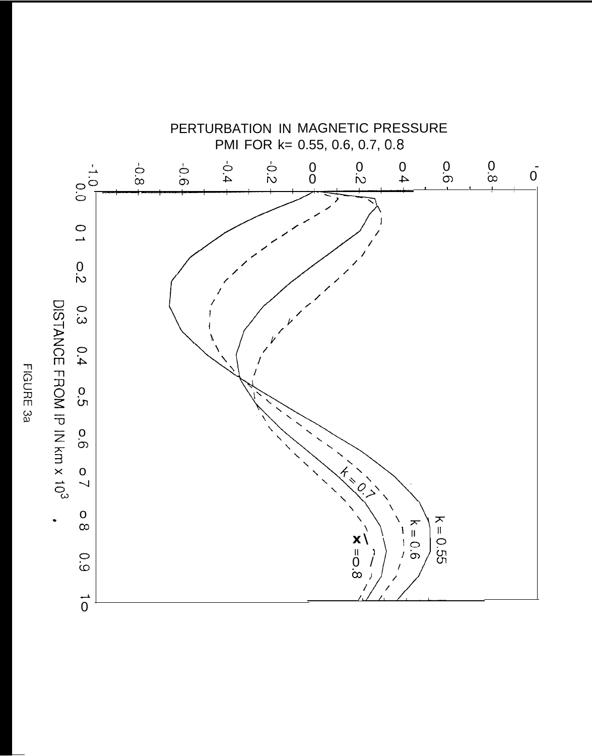

FIGURE 3a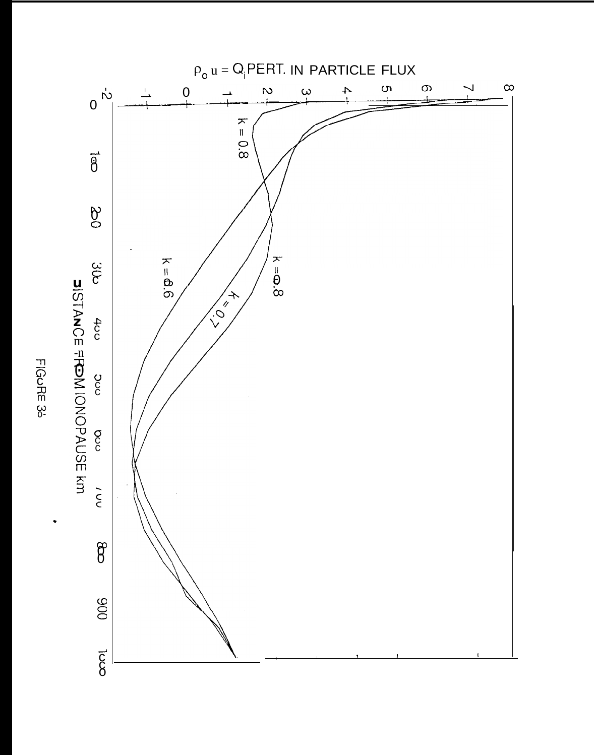

FIGORE 3<sup>-1</sup>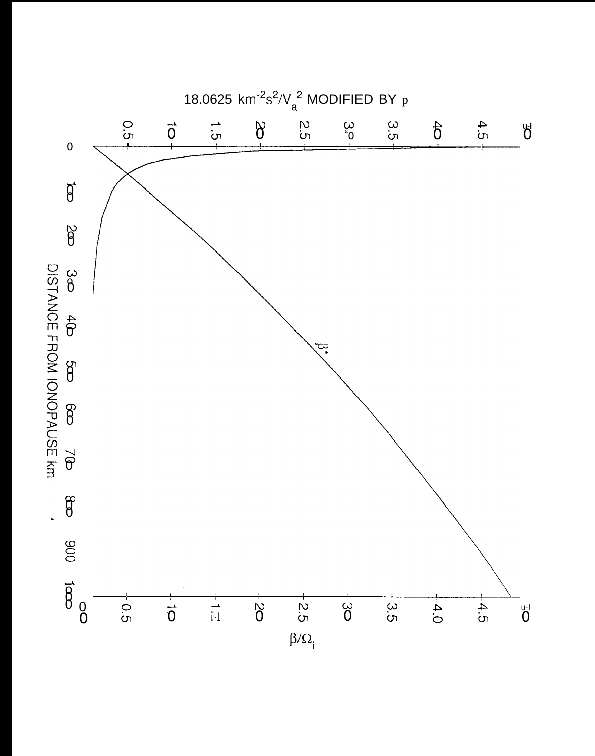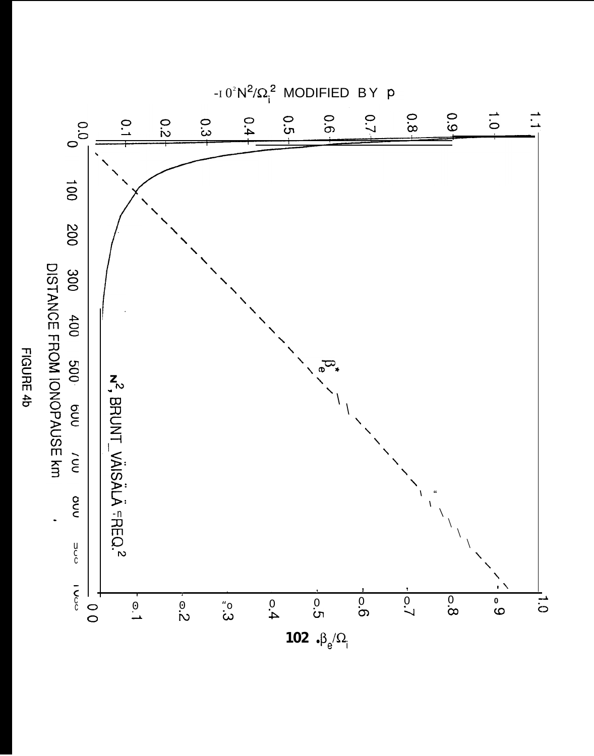

FIGURE 4b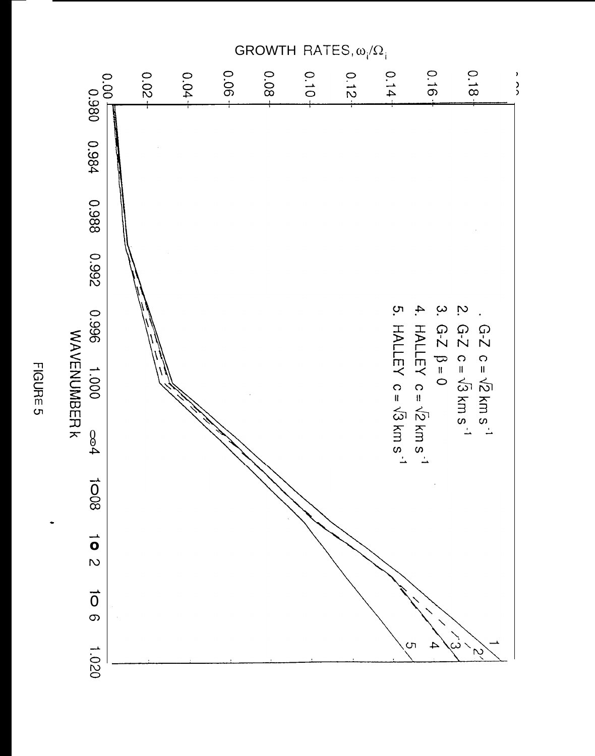

FIGURE 5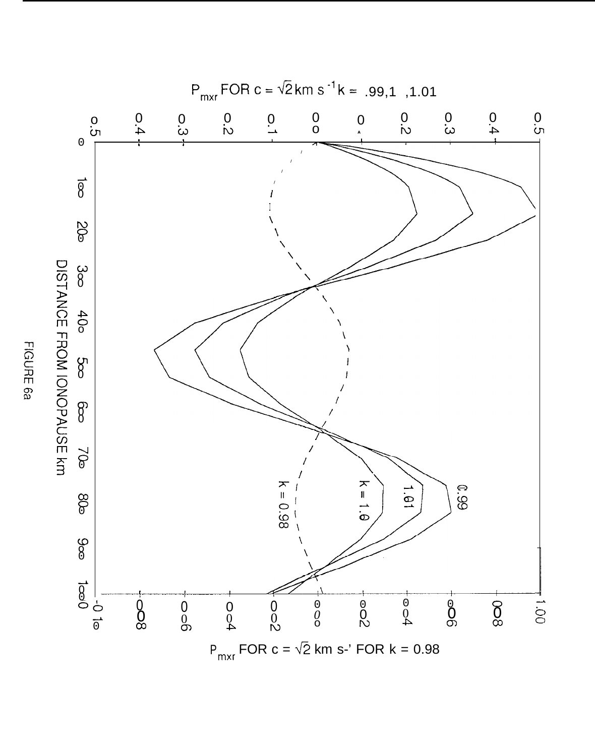

FIGURE 6a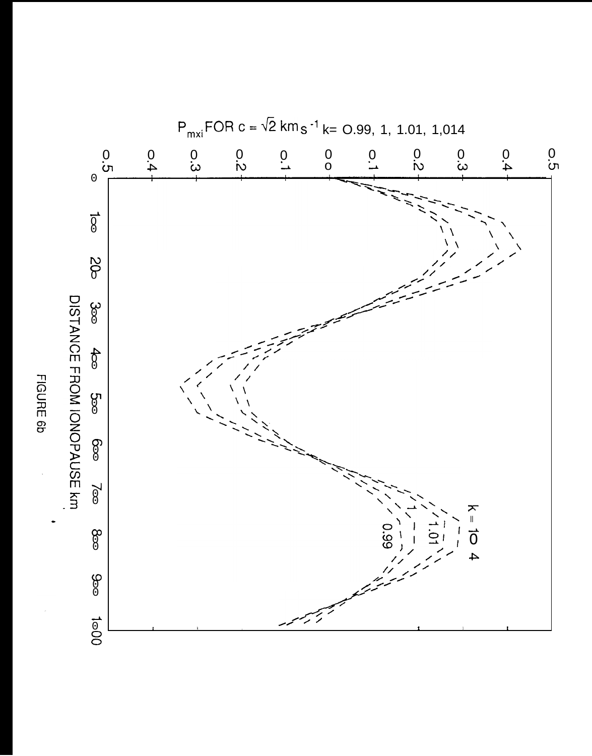

FIGURE 6b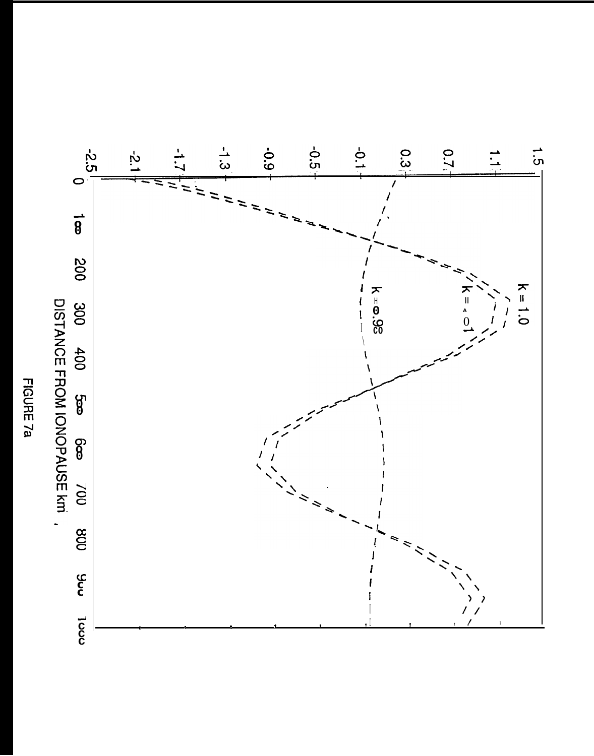# DISTANCE FROM IONOPAUSE km FIGURE 7a